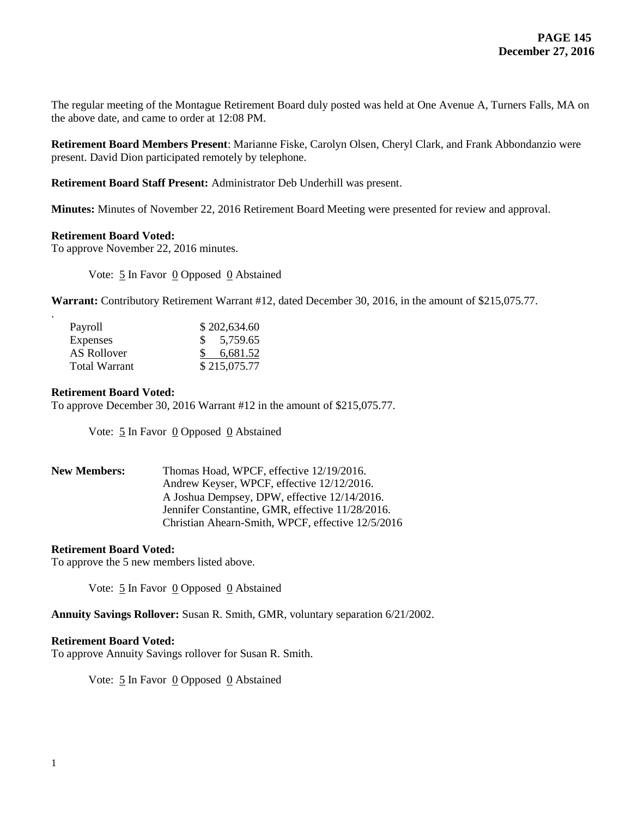The regular meeting of the Montague Retirement Board duly posted was held at One Avenue A, Turners Falls, MA on the above date, and came to order at 12:08 PM.

**Retirement Board Members Present**: Marianne Fiske, Carolyn Olsen, Cheryl Clark, and Frank Abbondanzio were present. David Dion participated remotely by telephone.

**Retirement Board Staff Present:** Administrator Deb Underhill was present.

**Minutes:** Minutes of November 22, 2016 Retirement Board Meeting were presented for review and approval.

## **Retirement Board Voted:**

To approve November 22, 2016 minutes.

Vote: 5 In Favor 0 Opposed 0 Abstained

**Warrant:** Contributory Retirement Warrant #12, dated December 30, 2016, in the amount of \$215,075.77.

| Payroll              | \$202,634.60 |
|----------------------|--------------|
| Expenses             | \$5,759.65   |
| AS Rollover          | 6.681.52     |
| <b>Total Warrant</b> | \$215,075.77 |

### **Retirement Board Voted:**

.

To approve December 30, 2016 Warrant #12 in the amount of \$215,075.77.

Vote:  $\frac{5}{5}$  In Favor 0 Opposed 0 Abstained

| <b>New Members:</b> | Thomas Hoad, WPCF, effective 12/19/2016.          |  |
|---------------------|---------------------------------------------------|--|
|                     | Andrew Keyser, WPCF, effective 12/12/2016.        |  |
|                     | A Joshua Dempsey, DPW, effective 12/14/2016.      |  |
|                     | Jennifer Constantine, GMR, effective 11/28/2016.  |  |
|                     | Christian Ahearn-Smith, WPCF, effective 12/5/2016 |  |

## **Retirement Board Voted:**

To approve the 5 new members listed above.

Vote: 5 In Favor 0 Opposed 0 Abstained

**Annuity Savings Rollover:** Susan R. Smith, GMR, voluntary separation 6/21/2002.

#### **Retirement Board Voted:**

To approve Annuity Savings rollover for Susan R. Smith.

Vote: 5 In Favor 0 Opposed 0 Abstained